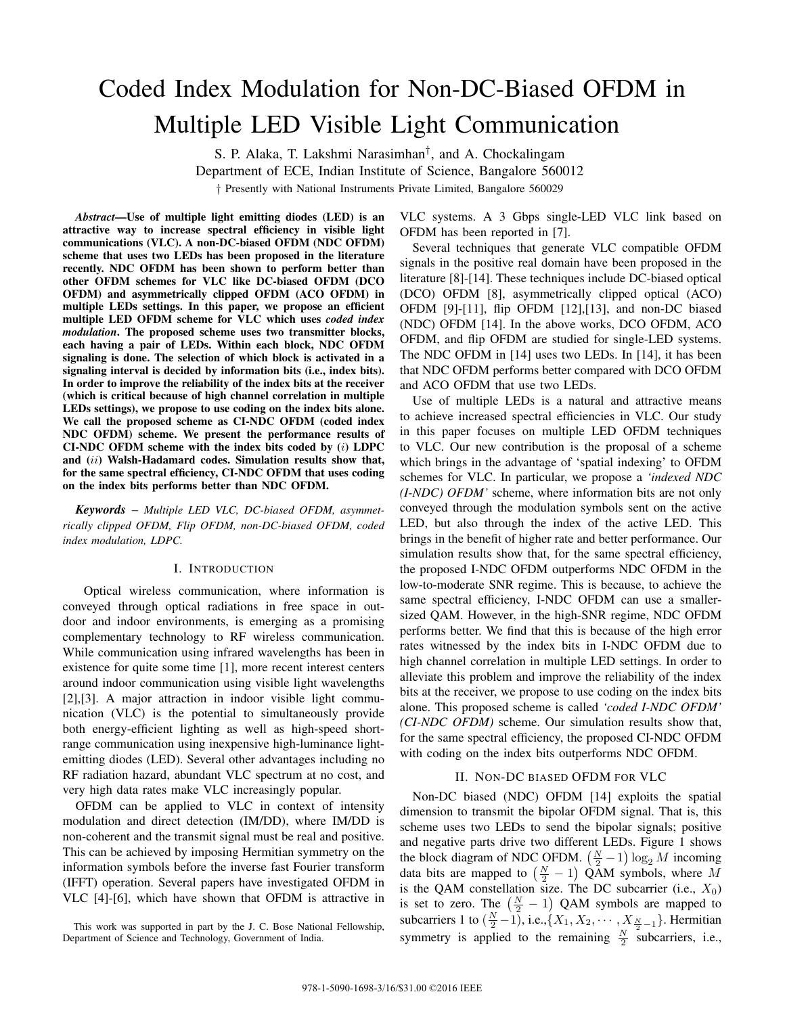# Coded Index Modulation for Non-DC-Biased OFDM in Multiple LED Visible Light Communication

S. P. Alaka, T. Lakshmi Narasimhan†, and A. Chockalingam Department of ECE, Indian Institute of Science, Bangalore 560012 † Presently with National Instruments Private Limited, Bangalore 560029

*Abstract***—Use of multiple light emitting diodes (LED) is an attractive way to increase spectral efficiency in visible light communications (VLC). A non-DC-biased OFDM (NDC OFDM) scheme that uses two LEDs has been proposed in the literature recently. NDC OFDM has been shown to perform better than other OFDM schemes for VLC like DC-biased OFDM (DCO OFDM) and asymmetrically clipped OFDM (ACO OFDM) in multiple LEDs settings. In this paper, we propose an efficient multiple LED OFDM scheme for VLC which uses** *coded index modulation***. The proposed scheme uses two transmitter blocks, each having a pair of LEDs. Within each block, NDC OFDM signaling is done. The selection of which block is activated in a signaling interval is decided by information bits (i.e., index bits). In order to improve the reliability of the index bits at the receiver (which is critical because of high channel correlation in multiple LEDs settings), we propose to use coding on the index bits alone. We call the proposed scheme as CI-NDC OFDM (coded index NDC OFDM) scheme. We present the performance results of CI-NDC OFDM scheme with the index bits coded by () LDPC and () Walsh-Hadamard codes. Simulation results show that, for the same spectral efficiency, CI-NDC OFDM that uses coding on the index bits performs better than NDC OFDM.**

*Keywords* – *Multiple LED VLC, DC-biased OFDM, asymmetrically clipped OFDM, Flip OFDM, non-DC-biased OFDM, coded index modulation, LDPC.*

## I. INTRODUCTION

Optical wireless communication, where information is conveyed through optical radiations in free space in outdoor and indoor environments, is emerging as a promising complementary technology to RF wireless communication. While communication using infrared wavelengths has been in existence for quite some time [1], more recent interest centers around indoor communication using visible light wavelengths [2],[3]. A major attraction in indoor visible light communication (VLC) is the potential to simultaneously provide both energy-efficient lighting as well as high-speed shortrange communication using inexpensive high-luminance lightemitting diodes (LED). Several other advantages including no RF radiation hazard, abundant VLC spectrum at no cost, and very high data rates make VLC increasingly popular.

OFDM can be applied to VLC in context of intensity modulation and direct detection (IM/DD), where IM/DD is non-coherent and the transmit signal must be real and positive. This can be achieved by imposing Hermitian symmetry on the information symbols before the inverse fast Fourier transform (IFFT) operation. Several papers have investigated OFDM in VLC [4]-[6], which have shown that OFDM is attractive in

This work was supported in part by the J. C. Bose National Fellowship, Department of Science and Technology, Government of India.

VLC systems. A 3 Gbps single-LED VLC link based on OFDM has been reported in [7].

Several techniques that generate VLC compatible OFDM signals in the positive real domain have been proposed in the literature [8]-[14]. These techniques include DC-biased optical (DCO) OFDM [8], asymmetrically clipped optical (ACO) OFDM [9]-[11], flip OFDM [12],[13], and non-DC biased (NDC) OFDM [14]. In the above works, DCO OFDM, ACO OFDM, and flip OFDM are studied for single-LED systems. The NDC OFDM in [14] uses two LEDs. In [14], it has been that NDC OFDM performs better compared with DCO OFDM and ACO OFDM that use two LEDs.

Use of multiple LEDs is a natural and attractive means to achieve increased spectral efficiencies in VLC. Our study in this paper focuses on multiple LED OFDM techniques to VLC. Our new contribution is the proposal of a scheme which brings in the advantage of 'spatial indexing' to OFDM schemes for VLC. In particular, we propose a *'indexed NDC (I-NDC) OFDM'* scheme, where information bits are not only conveyed through the modulation symbols sent on the active LED, but also through the index of the active LED. This brings in the benefit of higher rate and better performance. Our simulation results show that, for the same spectral efficiency, the proposed I-NDC OFDM outperforms NDC OFDM in the low-to-moderate SNR regime. This is because, to achieve the same spectral efficiency, I-NDC OFDM can use a smallersized QAM. However, in the high-SNR regime, NDC OFDM performs better. We find that this is because of the high error rates witnessed by the index bits in I-NDC OFDM due to high channel correlation in multiple LED settings. In order to alleviate this problem and improve the reliability of the index bits at the receiver, we propose to use coding on the index bits alone. This proposed scheme is called *'coded I-NDC OFDM' (CI-NDC OFDM)* scheme. Our simulation results show that, for the same spectral efficiency, the proposed CI-NDC OFDM with coding on the index bits outperforms NDC OFDM.

## II. NON-DC BIASED OFDM FOR VLC

Non-DC biased (NDC) OFDM [14] exploits the spatial dimension to transmit the bipolar OFDM signal. That is, this scheme uses two LEDs to send the bipolar signals; positive and negative parts drive two different LEDs. Figure 1 shows the block diagram of NDC OFDM.  $(\frac{N}{2}-1) \log_2 M$  incoming data bits are mapped to  $(\frac{N}{2} - 1)$  QAM symbols, where M is the QAM constellation size. The DC subcarrier (i.e.,  $X_0$ ) is set to zero. The  $(\frac{N}{2}-1)$  QAM symbols are mapped to subcarriers 1 to  $(\frac{N}{2}-1)$ , i.e.,  $\{X_1, X_2, \cdots, X_{\frac{N}{2}-1}\}$ . Hermitian symmetry is applied to the remaining  $\frac{N}{2}$  subcarriers, i.e.,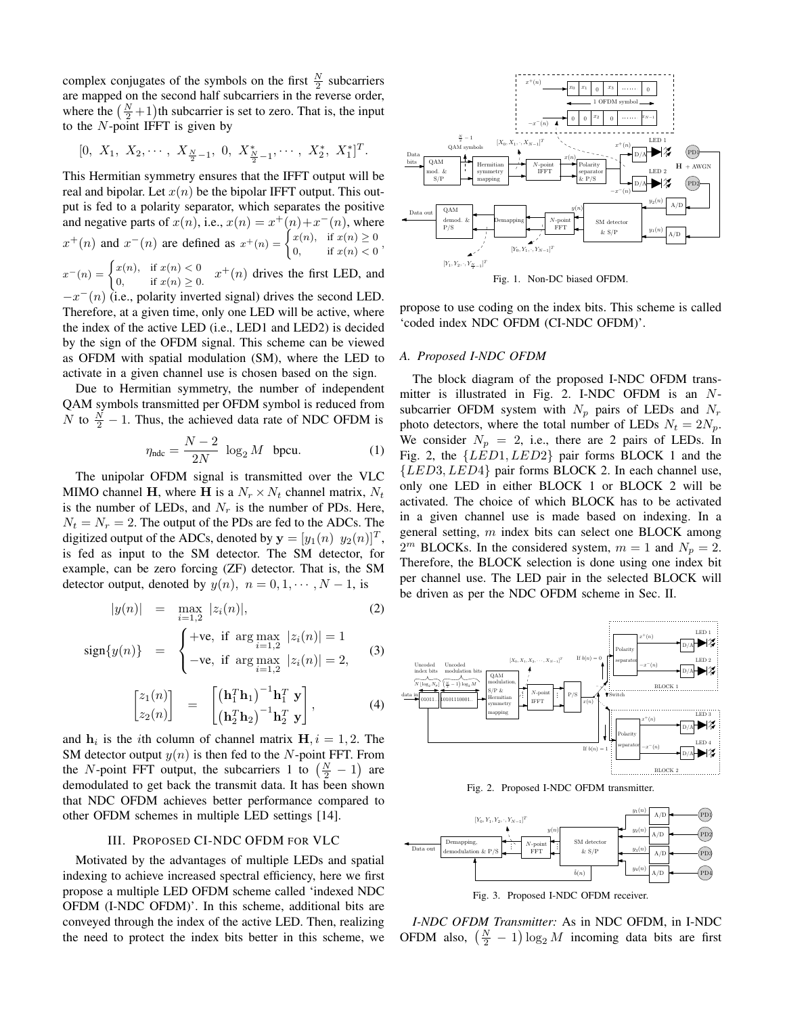complex conjugates of the symbols on the first  $\frac{N}{2}$  subcarriers are mapped on the second half subcarriers in the reverse order, where the  $(\frac{N}{2}+1)$ th subcarrier is set to zero. That is, the input to the  $N$ -point IFFT is given by

$$
[0, X_1, X_2, \cdots, X_{\frac{N}{2}-1}, 0, X_{\frac{N}{2}-1}^*, \cdots, X_2^*, X_1^*]^T.
$$

This Hermitian symmetry ensures that the IFFT output will be real and bipolar. Let  $x(n)$  be the bipolar IFFT output. This output is fed to a polarity separator, which separates the positive and negative parts of  $x(n)$ , i.e.,  $x(n) = x^+(n)+x^-(n)$ , where  $x^+(n)$  and  $x^-(n)$  are defined as  $x^+(n) = \begin{cases} x(n), & \text{if } x(n) \ge 0 \\ 0, & \text{if } x(n) < 0 \end{cases}$ ,  $x^{-}(n) = \begin{cases} x(n), & \text{if } x(n) < 0 \\ 0, & \text{if } x(n) \ge 0. \end{cases}$   $x^{+}(n)$  drives the first LED, and  $-x^{-}(n)$  (i.e., polarity inverted signal) drives the second LED. Therefore, at a given time, only one LED will be active, where the index of the active LED (i.e., LED1 and LED2) is decided by the sign of the OFDM signal. This scheme can be viewed as OFDM with spatial modulation (SM), where the LED to

activate in a given channel use is chosen based on the sign. Due to Hermitian symmetry, the number of independent QAM symbols transmitted per OFDM symbol is reduced from N to  $\frac{N}{2} - 1$ . Thus, the achieved data rate of NDC OFDM is

$$
\eta_{\text{nde}} = \frac{N-2}{2N} \log_2 M \text{ bpcu.}
$$
 (1)

The unipolar OFDM signal is transmitted over the VLC MIMO channel **H**, where **H** is a  $N_r \times N_t$  channel matrix,  $N_t$ is the number of LEDs, and  $N_r$  is the number of PDs. Here,  $N_t = N_r = 2$ . The output of the PDs are fed to the ADCs. The digitized output of the ADCs, denoted by  $y = [y_1(n) \ y_2(n)]^T$ , is fed as input to the SM detector. The SM detector, for example, can be zero forcing (ZF) detector. That is, the SM detector output, denoted by  $y(n)$ ,  $n = 0, 1, \dots, N - 1$ , is

$$
|y(n)| = \max_{i=1,2} |z_i(n)|,
$$
 (2)

sign{*y*(*n*)} = 
$$
\begin{cases} +\text{ve, if } \arg \max_{i=1,2} |z_i(n)| = 1 \\ -\text{ve, if } \arg \max_{i=1,2} |z_i(n)| = 2, \end{cases}
$$
 (3)

$$
\begin{bmatrix} z_1(n) \\ z_2(n) \end{bmatrix} = \begin{bmatrix} (\mathbf{h}_1^T \mathbf{h}_1)^{-1} \mathbf{h}_1^T \mathbf{y} \\ (\mathbf{h}_2^T \mathbf{h}_2)^{-1} \mathbf{h}_2^T \mathbf{y} \end{bmatrix},
$$
(4)

and  $h_i$  is the *i*th column of channel matrix  $H, i = 1, 2$ . The SM detector output  $y(n)$  is then fed to the N-point FFT. From the N-point FFT output, the subcarriers 1 to  $(\frac{N}{2} - 1)$  are demodulated to get back the transmit data. It has been shown that NDC OFDM achieves better performance compared to other OFDM schemes in multiple LED settings [14].

## III. PROPOSED CI-NDC OFDM FOR VLC

Motivated by the advantages of multiple LEDs and spatial indexing to achieve increased spectral efficiency, here we first propose a multiple LED OFDM scheme called 'indexed NDC OFDM (I-NDC OFDM)'. In this scheme, additional bits are conveyed through the index of the active LED. Then, realizing the need to protect the index bits better in this scheme, we



propose to use coding on the index bits. This scheme is called 'coded index NDC OFDM (CI-NDC OFDM)'.

## *A. Proposed I-NDC OFDM*

The block diagram of the proposed I-NDC OFDM transmitter is illustrated in Fig. 2. I-NDC OFDM is an  $N$ subcarrier OFDM system with  $N_p$  pairs of LEDs and  $N_r$ photo detectors, where the total number of LEDs  $N_t = 2N_n$ . We consider  $N_p = 2$ , i.e., there are 2 pairs of LEDs. In Fig. 2, the  ${LED1, LED2}$  pair forms BLOCK 1 and the  ${LED3, LED4}$  pair forms BLOCK 2. In each channel use, only one LED in either BLOCK 1 or BLOCK 2 will be activated. The choice of which BLOCK has to be activated in a given channel use is made based on indexing. In a general setting,  $m$  index bits can select one BLOCK among  $2^m$  BLOCKs. In the considered system,  $m = 1$  and  $N_p = 2$ . Therefore, the BLOCK selection is done using one index bit per channel use. The LED pair in the selected BLOCK will be driven as per the NDC OFDM scheme in Sec. II.



Fig. 2. Proposed I-NDC OFDM transmitter.



*I-NDC OFDM Transmitter:* As in NDC OFDM, in I-NDC OFDM also,  $\left(\frac{N}{2} - 1\right) \log_2 M$  incoming data bits are first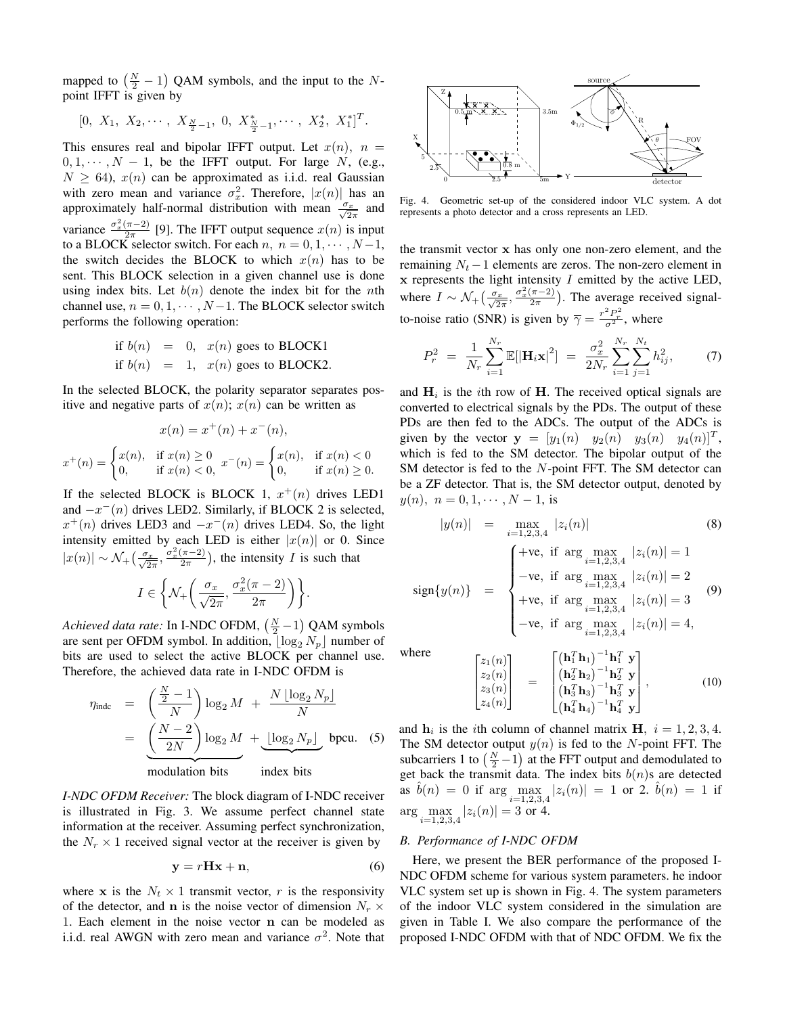mapped to  $(\frac{N}{2} - 1)$  QAM symbols, and the input to the Npoint IFFT is given by

$$
[0, X_1, X_2, \cdots, X_{\frac{N}{2}-1}, 0, X_{\frac{N}{2}-1}^*, \cdots, X_2^*, X_1^*]^T.
$$

This ensures real and bipolar IFFT output. Let  $x(n)$ ,  $n =$  $0, 1, \dots, N - 1$ , be the IFFT output. For large N, (e.g.,  $N \geq 64$ ,  $x(n)$  can be approximated as i.i.d. real Gaussian with zero mean and variance  $\sigma_x^2$ . Therefore,  $|x(n)|$  has an approximately half-normal distribution with mean  $\frac{\sigma_x}{\sqrt{2\pi}}$  and variance  $\frac{\sigma_x^2(\pi-2)}{2\pi}$  [9]. The IFFT output sequence  $x(n)$  is input to a BLOCK selector switch. For each  $n, n = 0, 1, \cdots, N-1$ , the switch decides the BLOCK to which  $x(n)$  has to be sent. This BLOCK selection in a given channel use is done using index bits. Let  $b(n)$  denote the index bit for the *n*th channel use,  $n = 0, 1, \dots, N-1$ . The BLOCK selector switch performs the following operation:

if 
$$
b(n) = 0
$$
,  $x(n)$  goes to BLOCK1  
if  $b(n) = 1$ ,  $x(n)$  goes to BLOCK2.

In the selected BLOCK, the polarity separator separates positive and negative parts of  $x(n)$ ;  $x(n)$  can be written as

$$
x(n) = x^{+}(n) + x^{-}(n),
$$
  

$$
x^{+}(n) = \begin{cases} x(n), & \text{if } x(n) \ge 0 \\ 0, & \text{if } x(n) < 0, \end{cases}
$$

$$
x^{-}(n) = \begin{cases} x(n), & \text{if } x(n) < 0 \\ 0, & \text{if } x(n) \ge 0. \end{cases}
$$

If the selected BLOCK is BLOCK 1,  $x^+(n)$  drives LED1 and  $-x^{-}(n)$  drives LED2. Similarly, if BLOCK 2 is selected,  $x^+(n)$  drives LED3 and  $-x^-(n)$  drives LED4. So, the light intensity emitted by each LED is either  $|x(n)|$  or 0. Since  $|x(n)| \sim \mathcal{N}_+(\frac{\sigma_x}{\sqrt{2\pi}}, \frac{\sigma_x^2(\pi-2)}{2\pi})$ , the intensity *I* is such that

$$
I \in \left\{ \mathcal{N}_+ \left( \frac{\sigma_x}{\sqrt{2\pi}}, \frac{\sigma_x^2(\pi - 2)}{2\pi} \right) \right\}.
$$

*Achieved data rate:* In I-NDC OFDM,  $\left(\frac{N}{2} - 1\right)$  QAM symbols are sent per OFDM symbol. In addition,  $\lfloor \log_2 N_p \rfloor$  number of bits are used to select the active BLOCK per channel use. Therefore, the achieved data rate in I-NDC OFDM is

$$
\eta_{\text{index}} = \left(\frac{\frac{N}{2} - 1}{N}\right) \log_2 M + \frac{N \lfloor \log_2 N_p \rfloor}{N}
$$

$$
= \underbrace{\left(\frac{N-2}{2N}\right) \log_2 M}_{\text{modulation bits}} + \underbrace{\lfloor \log_2 N_p \rfloor}_{\text{index bits}} \text{ bpcu. (5)}
$$

*I-NDC OFDM Receiver:* The block diagram of I-NDC receiver is illustrated in Fig. 3. We assume perfect channel state information at the receiver. Assuming perfect synchronization, the  $N_r \times 1$  received signal vector at the receiver is given by

$$
y = rHx + n,\t\t(6)
$$

where **x** is the  $N_t \times 1$  transmit vector, r is the responsivity of the detector, and **n** is the noise vector of dimension  $N_r \times$ 1. Each element in the noise vector **n** can be modeled as i.i.d. real AWGN with zero mean and variance  $\sigma^2$ . Note that



Fig. 4. Geometric set-up of the considered indoor VLC system. A dot represents a photo detector and a cross represents an LED.

the transmit vector **x** has only one non-zero element, and the remaining  $N_t - 1$  elements are zeros. The non-zero element in  $x$  represents the light intensity  $I$  emitted by the active LED, where  $I \sim \mathcal{N}_+(\frac{\sigma_x}{\sqrt{2\pi}}, \frac{\sigma_x^2(\pi-2)}{2\pi})$ . The average received signalto-noise ratio (SNR) is given by  $\overline{\gamma} = \frac{r^2 P_r^2}{\sigma^2}$ , where

$$
P_r^2 = \frac{1}{N_r} \sum_{i=1}^{N_r} \mathbb{E}[|\mathbf{H}_i \mathbf{x}|^2] = \frac{\sigma_x^2}{2N_r} \sum_{i=1}^{N_r} \sum_{j=1}^{N_t} h_{ij}^2, \qquad (7)
$$

and  $H_i$  is the *i*th row of H. The received optical signals are converted to electrical signals by the PDs. The output of these PDs are then fed to the ADCs. The output of the ADCs is given by the vector  $y = [y_1(n) \ y_2(n) \ y_3(n) \ y_4(n)]^T$ , which is fed to the SM detector. The bipolar output of the SM detector is fed to the  $N$ -point FFT. The SM detector can be a ZF detector. That is, the SM detector output, denoted by  $y(n), n = 0, 1, \cdots, N-1$ , is

$$
|y(n)| = \max_{i=1,2,3,4} |z_i(n)| \tag{8}
$$

$$
\text{sign}\{y(n)\} = \begin{cases}\n+ \text{ve, if } \arg \max_{i=1,2,3,4} |z_i(n)| = 1 \\
- \text{ve, if } \arg \max_{i=1,2,3,4} |z_i(n)| = 2 \\
+ \text{ve, if } \arg \max_{i=1,2,3,4} |z_i(n)| = 3 \\
- \text{ve, if } \arg \max_{i=1,2,3,4} |z_i(n)| = 4,\n\end{cases}
$$
\n(9)

where

$$
\begin{bmatrix} z_1(n) \\ z_2(n) \\ z_3(n) \\ z_4(n) \end{bmatrix} = \begin{bmatrix} (\mathbf{h}_1^T \mathbf{h}_1)^{-1} \mathbf{h}_1^T \ \mathbf{y} \\ (\mathbf{h}_2^T \mathbf{h}_2)^{-1} \mathbf{h}_2^T \ \mathbf{y} \\ (\mathbf{h}_3^T \mathbf{h}_3)^{-1} \mathbf{h}_3^T \ \mathbf{y} \\ (\mathbf{h}_4^T \mathbf{h}_4)^{-1} \mathbf{h}_4^T \ \mathbf{y} \end{bmatrix}, \qquad (10)
$$

and  $h_i$  is the *i*th column of channel matrix **H**,  $i = 1, 2, 3, 4$ . The SM detector output  $y(n)$  is fed to the N-point FFT. The subcarriers 1 to  $(\frac{N}{2}-1)$  at the FFT output and demodulated to get back the transmit data. The index bits  $b(n)$ s are detected as  $\hat{b}(n) = 0$  if  $\arg \max_{i=1,2,3,4} |z_i(n)| = 1$  or 2.  $\hat{b}(n) = 1$  if  $\arg \max_{i=1,2,3,4} |z_i(n)| = 3$  or 4.

## *B. Performance of I-NDC OFDM*

Here, we present the BER performance of the proposed I-NDC OFDM scheme for various system parameters. he indoor VLC system set up is shown in Fig. 4. The system parameters of the indoor VLC system considered in the simulation are given in Table I. We also compare the performance of the proposed I-NDC OFDM with that of NDC OFDM. We fix the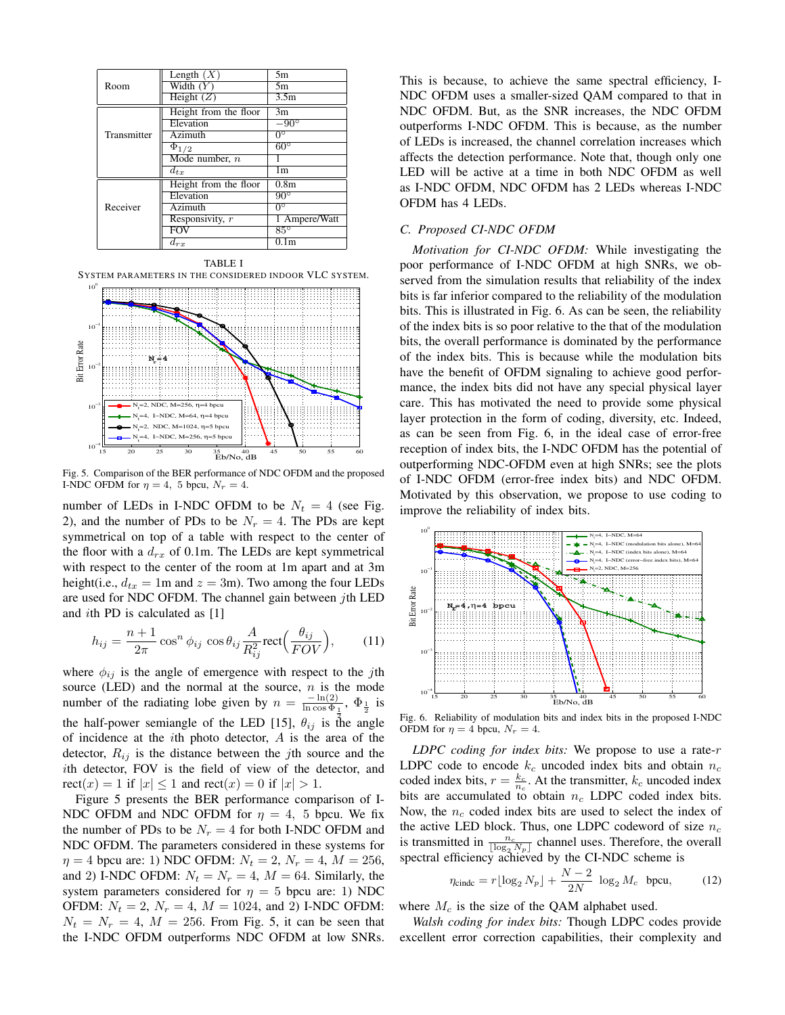| Room        | Length $(X)$          | 5m               |
|-------------|-----------------------|------------------|
|             | Width $(Y)$           | 5m               |
|             | Height $(Z)$          | 3.5 <sub>m</sub> |
| Transmitter | Height from the floor | 3m               |
|             | Elevation             | $-90^{\circ}$    |
|             | Azimuth               | $0^{\circ}$      |
|             | $\Phi_{1/2}$          | $60^{\circ}$     |
|             | Mode number, $n$      |                  |
|             | $d_{tx}$              | 1 <sub>m</sub>   |
| Receiver    | Height from the floor | 0.8 <sub>m</sub> |
|             | Elevation             | $90^{\circ}$     |
|             | Azimuth               | $0^{\circ}$      |
|             | Responsivity, $r$     | 1 Ampere/Watt    |
|             | FOV                   | $85^\circ$       |
|             | $d_{rx}$              | 0.1 <sub>m</sub> |

TABLE I SYSTEM PARAMETERS IN THE CONSIDERED INDOOR VLC SYSTEM.



Fig. 5. Comparison of the BER performance of NDC OFDM and the proposed I-NDC OFDM for  $\eta = 4$ , 5 bpcu,  $N_r = 4$ .

number of LEDs in I-NDC OFDM to be  $N_t = 4$  (see Fig. 2), and the number of PDs to be  $N_r = 4$ . The PDs are kept symmetrical on top of a table with respect to the center of the floor with a  $d_{rx}$  of 0.1m. The LEDs are kept symmetrical with respect to the center of the room at 1m apart and at 3m height(i.e.,  $d_{tx} = 1$ m and  $z = 3$ m). Two among the four LEDs are used for NDC OFDM. The channel gain between  $j$ th LED and *i*th PD is calculated as  $[1]$ 

$$
h_{ij} = \frac{n+1}{2\pi} \cos^n \phi_{ij} \cos \theta_{ij} \frac{A}{R_{ij}^2} \text{rect}\Big(\frac{\theta_{ij}}{FOV}\Big),\tag{11}
$$

where  $\phi_{ij}$  is the angle of emergence with respect to the jth source (LED) and the normal at the source,  $n$  is the mode number of the radiating lobe given by  $n = \frac{-\ln(2)}{\ln \cos \Phi_{\frac{1}{2}}}$ ,  $\Phi_{\frac{1}{2}}$  is the half-power semiangle of the LED [15],  $\theta_{ij}$  is the angle of incidence at the  $i$ th photo detector,  $A$  is the area of the detector,  $R_{ij}$  is the distance between the jth source and the ith detector, FOV is the field of view of the detector, and rect(x) = 1 if  $|x|$  < 1 and rect(x) = 0 if  $|x| > 1$ .

Figure 5 presents the BER performance comparison of I-NDC OFDM and NDC OFDM for  $\eta = 4$ , 5 bpcu. We fix the number of PDs to be  $N_r = 4$  for both I-NDC OFDM and NDC OFDM. The parameters considered in these systems for  $\eta = 4$  bpcu are: 1) NDC OFDM:  $N_t = 2$ ,  $N_r = 4$ ,  $M = 256$ , and 2) I-NDC OFDM:  $N_t = N_r = 4$ ,  $M = 64$ . Similarly, the system parameters considered for  $\eta = 5$  bpcu are: 1) NDC OFDM:  $N_t = 2$ ,  $N_r = 4$ ,  $M = 1024$ , and 2) I-NDC OFDM:  $N_t = N_r = 4$ ,  $M = 256$ . From Fig. 5, it can be seen that the I-NDC OFDM outperforms NDC OFDM at low SNRs. This is because, to achieve the same spectral efficiency, I-NDC OFDM uses a smaller-sized QAM compared to that in NDC OFDM. But, as the SNR increases, the NDC OFDM outperforms I-NDC OFDM. This is because, as the number of LEDs is increased, the channel correlation increases which affects the detection performance. Note that, though only one LED will be active at a time in both NDC OFDM as well as I-NDC OFDM, NDC OFDM has 2 LEDs whereas I-NDC OFDM has 4 LEDs.

## *C. Proposed CI-NDC OFDM*

*Motivation for CI-NDC OFDM:* While investigating the poor performance of I-NDC OFDM at high SNRs, we observed from the simulation results that reliability of the index bits is far inferior compared to the reliability of the modulation bits. This is illustrated in Fig. 6. As can be seen, the reliability of the index bits is so poor relative to the that of the modulation bits, the overall performance is dominated by the performance of the index bits. This is because while the modulation bits have the benefit of OFDM signaling to achieve good performance, the index bits did not have any special physical layer care. This has motivated the need to provide some physical layer protection in the form of coding, diversity, etc. Indeed, as can be seen from Fig. 6, in the ideal case of error-free reception of index bits, the I-NDC OFDM has the potential of outperforming NDC-OFDM even at high SNRs; see the plots of I-NDC OFDM (error-free index bits) and NDC OFDM. Motivated by this observation, we propose to use coding to improve the reliability of index bits.



Fig. 6. Reliability of modulation bits and index bits in the proposed I-NDC OFDM for  $\eta = 4$  bpcu,  $N_r = 4$ .

*LDPC coding for index bits:* We propose to use a rate- LDPC code to encode  $k_c$  uncoded index bits and obtain  $n_c$ coded index bits,  $r = \frac{k_c}{n_c}$ . At the transmitter,  $k_c$  uncoded index bits are accumulated to obtain  $n_c$  LDPC coded index bits. Now, the  $n_c$  coded index bits are used to select the index of the active LED block. Thus, one LDPC codeword of size  $n_c$ is transmitted in  $\frac{n_c}{\lfloor \log_2 N_p \rfloor}$  channel uses. Therefore, the overall spectral efficiency achieved by the CI-NDC scheme is

$$
\eta_{\text{cinde}} = r \lfloor \log_2 N_p \rfloor + \frac{N-2}{2N} \log_2 M_c \text{ bpcu}, \tag{12}
$$

where  $M_c$  is the size of the QAM alphabet used.

*Walsh coding for index bits:* Though LDPC codes provide excellent error correction capabilities, their complexity and